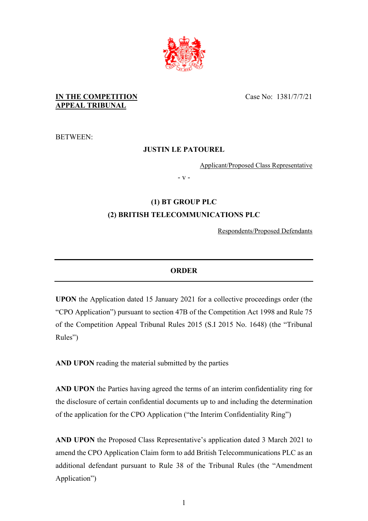

## **IN THE COMPETITION APPEAL TRIBUNAL**

BETWEEN:

## **JUSTIN LE PATOUREL**

Applicant/Proposed Class Representative

- v -

# **(1) BT GROUP PLC (2) BRITISH TELECOMMUNICATIONS PLC**

Respondents/Proposed Defendants

## **ORDER**

**UPON** the Application dated 15 January 2021 for a collective proceedings order (the "CPO Application") pursuant to section 47B of the Competition Act 1998 and Rule 75 of the Competition Appeal Tribunal Rules 2015 (S.I 2015 No. 1648) (the "Tribunal Rules")

**AND UPON** reading the material submitted by the parties

**AND UPON** the Parties having agreed the terms of an interim confidentiality ring for the disclosure of certain confidential documents up to and including the determination of the application for the CPO Application ("the Interim Confidentiality Ring")

**AND UPON** the Proposed Class Representative's application dated 3 March 2021 to amend the CPO Application Claim form to add British Telecommunications PLC as an additional defendant pursuant to Rule 38 of the Tribunal Rules (the "Amendment Application")

Case No: 1381/7/7/21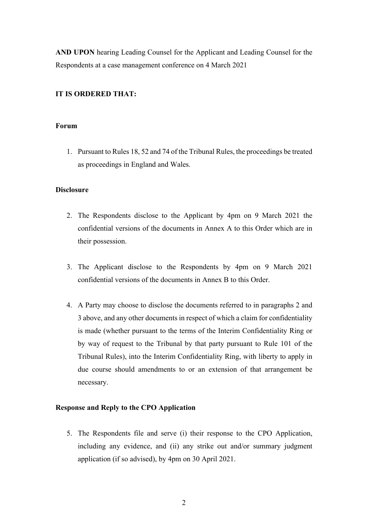**AND UPON** hearing Leading Counsel for the Applicant and Leading Counsel for the Respondents at a case management conference on 4 March 2021

### **IT IS ORDERED THAT:**

### **Forum**

1. Pursuant to Rules 18, 52 and 74 of the Tribunal Rules, the proceedings be treated as proceedings in England and Wales.

### **Disclosure**

- 2. The Respondents disclose to the Applicant by 4pm on 9 March 2021 the confidential versions of the documents in Annex A to this Order which are in their possession.
- 3. The Applicant disclose to the Respondents by 4pm on 9 March 2021 confidential versions of the documents in Annex B to this Order.
- 4. A Party may choose to disclose the documents referred to in paragraphs 2 and 3 above, and any other documents in respect of which a claim for confidentiality is made (whether pursuant to the terms of the Interim Confidentiality Ring or by way of request to the Tribunal by that party pursuant to Rule 101 of the Tribunal Rules), into the Interim Confidentiality Ring, with liberty to apply in due course should amendments to or an extension of that arrangement be necessary.

### **Response and Reply to the CPO Application**

5. The Respondents file and serve (i) their response to the CPO Application, including any evidence, and (ii) any strike out and/or summary judgment application (if so advised), by 4pm on 30 April 2021.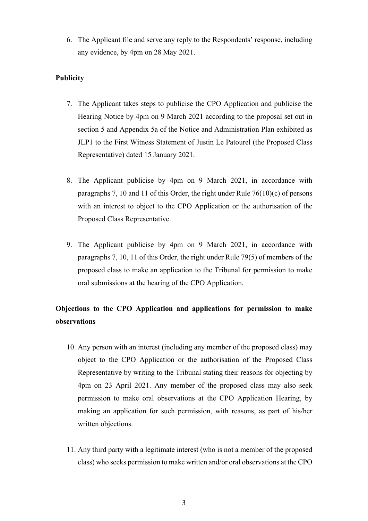6. The Applicant file and serve any reply to the Respondents' response, including any evidence, by 4pm on 28 May 2021.

## **Publicity**

- 7. The Applicant takes steps to publicise the CPO Application and publicise the Hearing Notice by 4pm on 9 March 2021 according to the proposal set out in section 5 and Appendix 5a of the Notice and Administration Plan exhibited as JLP1 to the First Witness Statement of Justin Le Patourel (the Proposed Class Representative) dated 15 January 2021.
- 8. The Applicant publicise by 4pm on 9 March 2021, in accordance with paragraphs 7, 10 and 11 of this Order, the right under Rule 76(10)(c) of persons with an interest to object to the CPO Application or the authorisation of the Proposed Class Representative.
- 9. The Applicant publicise by 4pm on 9 March 2021, in accordance with paragraphs 7, 10, 11 of this Order, the right under Rule 79(5) of members of the proposed class to make an application to the Tribunal for permission to make oral submissions at the hearing of the CPO Application.

# **Objections to the CPO Application and applications for permission to make observations**

- 10. Any person with an interest (including any member of the proposed class) may object to the CPO Application or the authorisation of the Proposed Class Representative by writing to the Tribunal stating their reasons for objecting by 4pm on 23 April 2021. Any member of the proposed class may also seek permission to make oral observations at the CPO Application Hearing, by making an application for such permission, with reasons, as part of his/her written objections.
- 11. Any third party with a legitimate interest (who is not a member of the proposed class) who seeks permission to make written and/or oral observations at the CPO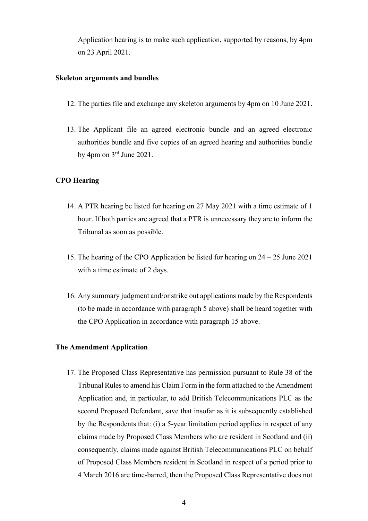Application hearing is to make such application, supported by reasons, by 4pm on 23 April 2021.

#### **Skeleton arguments and bundles**

- 12. The parties file and exchange any skeleton arguments by 4pm on 10 June 2021.
- 13. The Applicant file an agreed electronic bundle and an agreed electronic authorities bundle and five copies of an agreed hearing and authorities bundle by 4pm on  $3<sup>rd</sup>$  June 2021.

### **CPO Hearing**

- 14. A PTR hearing be listed for hearing on 27 May 2021 with a time estimate of 1 hour. If both parties are agreed that a PTR is unnecessary they are to inform the Tribunal as soon as possible.
- 15. The hearing of the CPO Application be listed for hearing on 24 25 June 2021 with a time estimate of 2 days.
- 16. Any summary judgment and/or strike out applications made by the Respondents (to be made in accordance with paragraph 5 above) shall be heard together with the CPO Application in accordance with paragraph 15 above.

### **The Amendment Application**

17. The Proposed Class Representative has permission pursuant to Rule 38 of the Tribunal Rules to amend his Claim Form in the form attached to the Amendment Application and, in particular, to add British Telecommunications PLC as the second Proposed Defendant, save that insofar as it is subsequently established by the Respondents that: (i) a 5-year limitation period applies in respect of any claims made by Proposed Class Members who are resident in Scotland and (ii) consequently, claims made against British Telecommunications PLC on behalf of Proposed Class Members resident in Scotland in respect of a period prior to 4 March 2016 are time-barred, then the Proposed Class Representative does not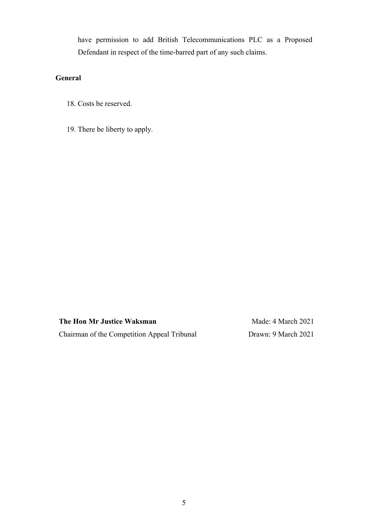have permission to add British Telecommunications PLC as a Proposed Defendant in respect of the time-barred part of any such claims.

## **General**

- 18. Costs be reserved.
- 19. There be liberty to apply.

**The Hon Mr Justice Waksman** Chairman of the Competition Appeal Tribunal

Made: 4 March 2021 Drawn: 9 March 2021